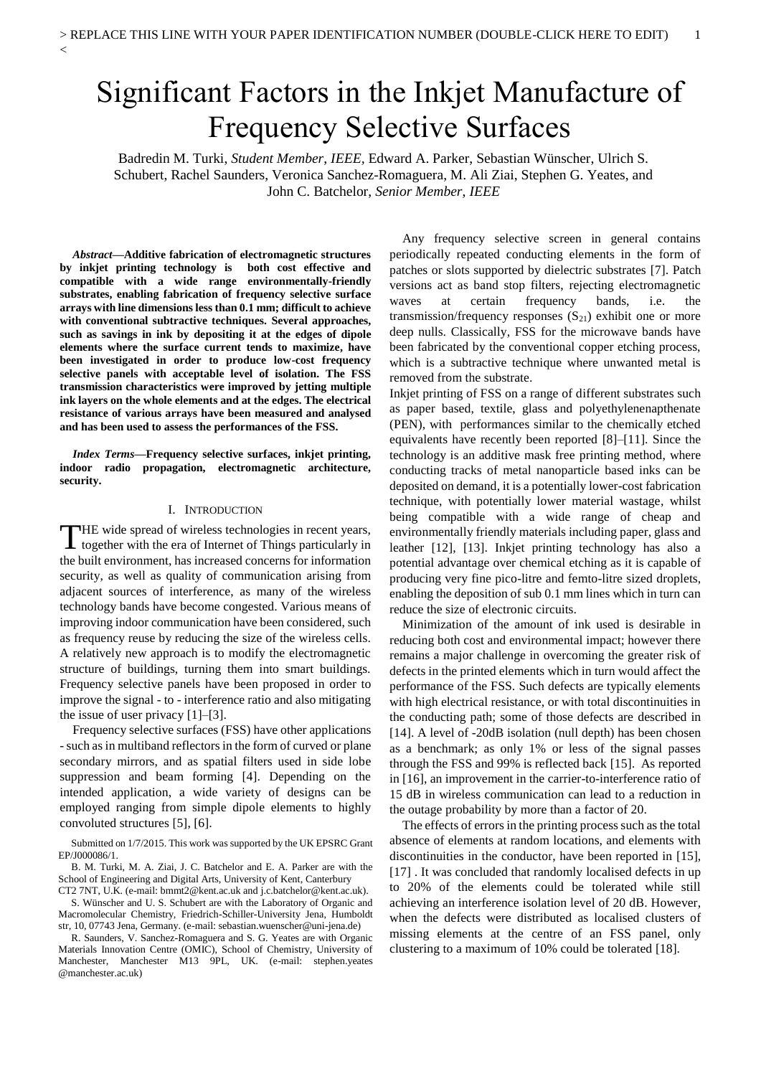# Significant Factors in the Inkjet Manufacture of Frequency Selective Surfaces

Badredin M. Turki, *Student Member*, *IEEE,* Edward A. Parker, Sebastian Wünscher, Ulrich S. Schubert, Rachel Saunders, Veronica Sanchez-Romaguera, M. Ali Ziai, Stephen G. Yeates, and John C. Batchelor, *Senior Member*, *IEEE*

*Abstract***—Additive fabrication of electromagnetic structures by inkjet printing technology is both cost effective and compatible with a wide range environmentally-friendly substrates, enabling fabrication of frequency selective surface arrays with line dimensions less than 0.1 mm; difficult to achieve with conventional subtractive techniques. Several approaches, such as savings in ink by depositing it at the edges of dipole elements where the surface current tends to maximize, have been investigated in order to produce low-cost frequency selective panels with acceptable level of isolation. The FSS transmission characteristics were improved by jetting multiple ink layers on the whole elements and at the edges. The electrical resistance of various arrays have been measured and analysed and has been used to assess the performances of the FSS.** 

 $\overline{<}$ 

*Index Terms***—Frequency selective surfaces, inkjet printing, indoor radio propagation, electromagnetic architecture, security.** 

### I. INTRODUCTION

HE wide spread of wireless technologies in recent years, THE wide spread of wireless technologies in recent years,<br>together with the era of Internet of Things particularly in the built environment, has increased concerns for information security, as well as quality of communication arising from adjacent sources of interference, as many of the wireless technology bands have become congested. Various means of improving indoor communication have been considered, such as frequency reuse by reducing the size of the wireless cells. A relatively new approach is to modify the electromagnetic structure of buildings, turning them into smart buildings. Frequency selective panels have been proposed in order to improve the signal - to - interference ratio and also mitigating the issue of user privacy  $[1]$ – $[3]$ .

Frequency selective surfaces (FSS) have other applications -such asin multiband reflectors in the form of curved or plane secondary mirrors, and as spatial filters used in side lobe suppression and beam forming [4]. Depending on the intended application, a wide variety of designs can be employed ranging from simple dipole elements to highly convoluted structures [5], [6].

Submitted on 1/7/2015. This work was supported by the UK EPSRC Grant EP/J000086/1.

B. M. Turki, M. A. Ziai, J. C. Batchelor and E. A. Parker are with the School of Engineering and Digital Arts, University of Kent, Canterbury CT2 7NT, U.K. (e-mail: bmmt2@kent.ac.uk and j.c.batchelor@kent.ac.uk).

S. Wünscher and U. S. Schubert are with the Laboratory of Organic and Macromolecular Chemistry, Friedrich-Schiller-University Jena, Humboldt str, 10, 07743 Jena, Germany. (e-mail: sebastian.wuenscher@uni-jena.de)

R. Saunders, V. Sanchez-Romaguera and S. G. Yeates are with Organic Materials Innovation Centre (OMIC), School of Chemistry, University of Manchester, Manchester M13 9PL, UK. (e-mail: stephen.yeates @manchester.ac.uk)

Any frequency selective screen in general contains periodically repeated conducting elements in the form of patches or slots supported by dielectric substrates [7]. Patch versions act as band stop filters, rejecting electromagnetic waves at certain frequency bands, i.e. the transmission/frequency responses  $(S_{21})$  exhibit one or more deep nulls. Classically, FSS for the microwave bands have been fabricated by the conventional copper etching process, which is a subtractive technique where unwanted metal is removed from the substrate.

Inkjet printing of FSS on a range of different substrates such as paper based, textile, glass and polyethylenenapthenate (PEN), with performances similar to the chemically etched equivalents have recently been reported [8]–[11]. Since the technology is an additive mask free printing method, where conducting tracks of metal nanoparticle based inks can be deposited on demand, it is a potentially lower-cost fabrication technique, with potentially lower material wastage, whilst being compatible with a wide range of cheap and environmentally friendly materials including paper, glass and leather [12], [13]. Inkjet printing technology has also a potential advantage over chemical etching as it is capable of producing very fine pico-litre and femto-litre sized droplets, enabling the deposition of sub 0.1 mm lines which in turn can reduce the size of electronic circuits.

Minimization of the amount of ink used is desirable in reducing both cost and environmental impact; however there remains a major challenge in overcoming the greater risk of defects in the printed elements which in turn would affect the performance of the FSS. Such defects are typically elements with high electrical resistance, or with total discontinuities in the conducting path; some of those defects are described in [14]. A level of -20dB isolation (null depth) has been chosen as a benchmark; as only 1% or less of the signal passes through the FSS and 99% is reflected back [15]. As reported in [16], an improvement in the carrier-to-interference ratio of 15 dB in wireless communication can lead to a reduction in the outage probability by more than a factor of 20.

The effects of errors in the printing process such as the total absence of elements at random locations, and elements with discontinuities in the conductor, have been reported in [15], [17]. It was concluded that randomly localised defects in up to 20% of the elements could be tolerated while still achieving an interference isolation level of 20 dB. However, when the defects were distributed as localised clusters of missing elements at the centre of an FSS panel, only clustering to a maximum of 10% could be tolerated [18].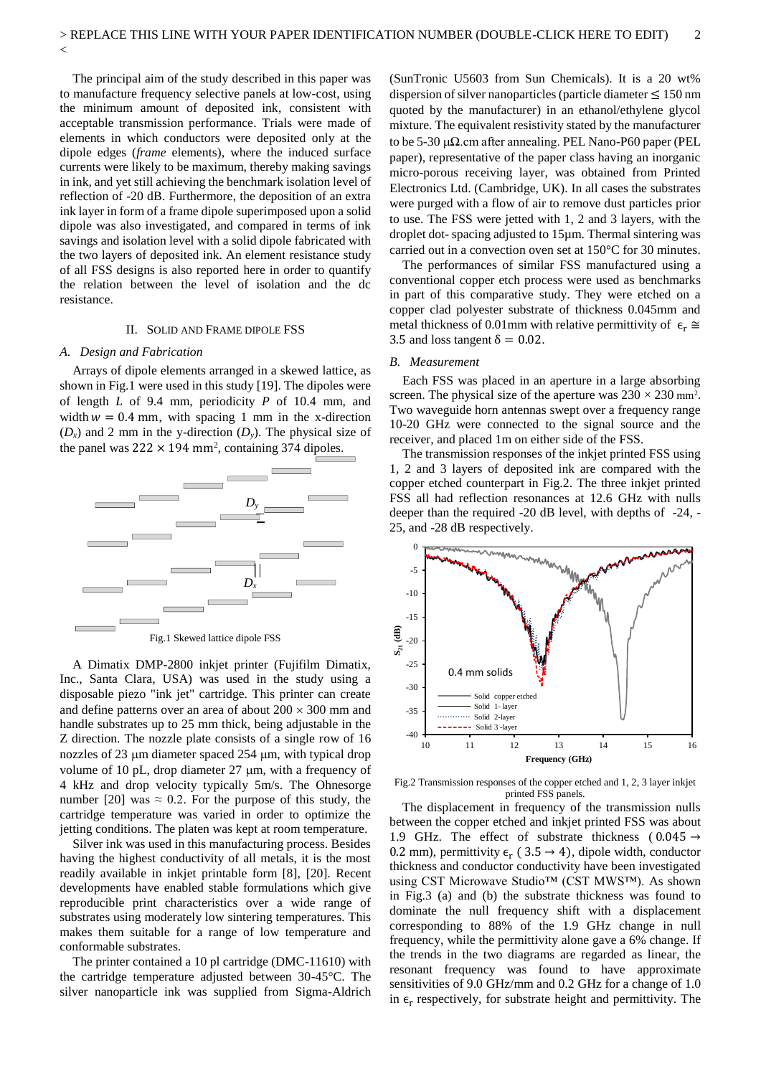The principal aim of the study described in this paper was to manufacture frequency selective panels at low-cost, using the minimum amount of deposited ink, consistent with acceptable transmission performance. Trials were made of elements in which conductors were deposited only at the dipole edges (*frame* elements), where the induced surface currents were likely to be maximum, thereby making savings in ink, and yet still achieving the benchmark isolation level of reflection of -20 dB. Furthermore, the deposition of an extra ink layer in form of a frame dipole superimposed upon a solid dipole was also investigated, and compared in terms of ink savings and isolation level with a solid dipole fabricated with the two layers of deposited ink. An element resistance study of all FSS designs is also reported here in order to quantify the relation between the level of isolation and the dc resistance.

#### II. SOLID AND FRAME DIPOLE FSS

#### *A. Design and Fabrication*

 $\overline{<}$ 

Arrays of dipole elements arranged in a skewed lattice, as shown in Fig.1 were used in this study [19]. The dipoles were of length *L* of 9.4 mm, periodicity *P* of 10.4 mm, and width  $w = 0.4$  mm, with spacing 1 mm in the x-direction  $(D_x)$  and 2 mm in the y-direction  $(D_y)$ . The physical size of the panel was  $222 \times 194$  mm<sup>2</sup>, containing 374 dipoles.



A Dimatix DMP-2800 inkjet printer (Fujifilm Dimatix, Inc., Santa Clara, USA) was used in the study using a disposable piezo "ink jet" cartridge. This printer can create and define patterns over an area of about  $200 \times 300$  mm and handle substrates up to 25 mm thick, being adjustable in the Z direction. The nozzle plate consists of a single row of 16 nozzles of 23  $\mu$ m diameter spaced 254  $\mu$ m, with typical drop volume of 10 pL, drop diameter  $27 \mu m$ , with a frequency of 4 kHz and drop velocity typically 5m/s. The Ohnesorge number [20] was  $\approx 0.2$ . For the purpose of this study, the cartridge temperature was varied in order to optimize the jetting conditions. The platen was kept at room temperature.

Silver ink was used in this manufacturing process. Besides having the highest conductivity of all metals, it is the most readily available in inkjet printable form [8], [20]. Recent developments have enabled stable formulations which give reproducible print characteristics over a wide range of substrates using moderately low sintering temperatures. This makes them suitable for a range of low temperature and conformable substrates.

The printer contained a 10 pl cartridge (DMC-11610) with the cartridge temperature adjusted between 30-45°C. The silver nanoparticle ink was supplied from Sigma-Aldrich

(SunTronic U5603 from Sun Chemicals). It is a 20 wt% dispersion of silver nanoparticles (particle diameter  $\leq 150$  nm quoted by the manufacturer) in an ethanol/ethylene glycol mixture. The equivalent resistivity stated by the manufacturer to be 5-30 μ $Ω$ .cm after annealing. PEL Nano-P60 paper (PEL paper), representative of the paper class having an inorganic micro-porous receiving layer, was obtained from Printed Electronics Ltd. (Cambridge, UK). In all cases the substrates were purged with a flow of air to remove dust particles prior to use. The FSS were jetted with 1, 2 and 3 layers, with the droplet dot- spacing adjusted to 15µm. Thermal sintering was carried out in a convection oven set at 150°C for 30 minutes.

The performances of similar FSS manufactured using a conventional copper etch process were used as benchmarks in part of this comparative study. They were etched on a copper clad polyester substrate of thickness 0.045mm and metal thickness of 0.01mm with relative permittivity of  $\epsilon_r \approx$ 3.5 and loss tangent  $\delta = 0.02$ .

#### *B. Measurement*

Each FSS was placed in an aperture in a large absorbing screen. The physical size of the aperture was  $230 \times 230$  mm<sup>2</sup>. Two waveguide horn antennas swept over a frequency range 10-20 GHz were connected to the signal source and the receiver, and placed 1m on either side of the FSS.

The transmission responses of the inkjet printed FSS using 1, 2 and 3 layers of deposited ink are compared with the copper etched counterpart in Fig.2. The three inkjet printed FSS all had reflection resonances at 12.6 GHz with nulls deeper than the required -20 dB level, with depths of -24, - 25, and -28 dB respectively.



Fig.2 Transmission responses of the copper etched and 1, 2, 3 layer inkjet printed FSS panels.

The displacement in frequency of the transmission nulls between the copper etched and inkjet printed FSS was about 1.9 GHz. The effect of substrate thickness ( $0.045 \rightarrow$ 0.2 mm), permittivity  $\epsilon_r$  (3.5  $\rightarrow$  4), dipole width, conductor thickness and conductor conductivity have been investigated using CST Microwave Studio™ (CST MWS™). As shown in Fig.3 (a) and (b) the substrate thickness was found to dominate the null frequency shift with a displacement corresponding to 88% of the 1.9 GHz change in null frequency, while the permittivity alone gave a 6% change. If the trends in the two diagrams are regarded as linear, the resonant frequency was found to have approximate sensitivities of 9.0 GHz/mm and 0.2 GHz for a change of 1.0 in  $\epsilon_r$  respectively, for substrate height and permittivity. The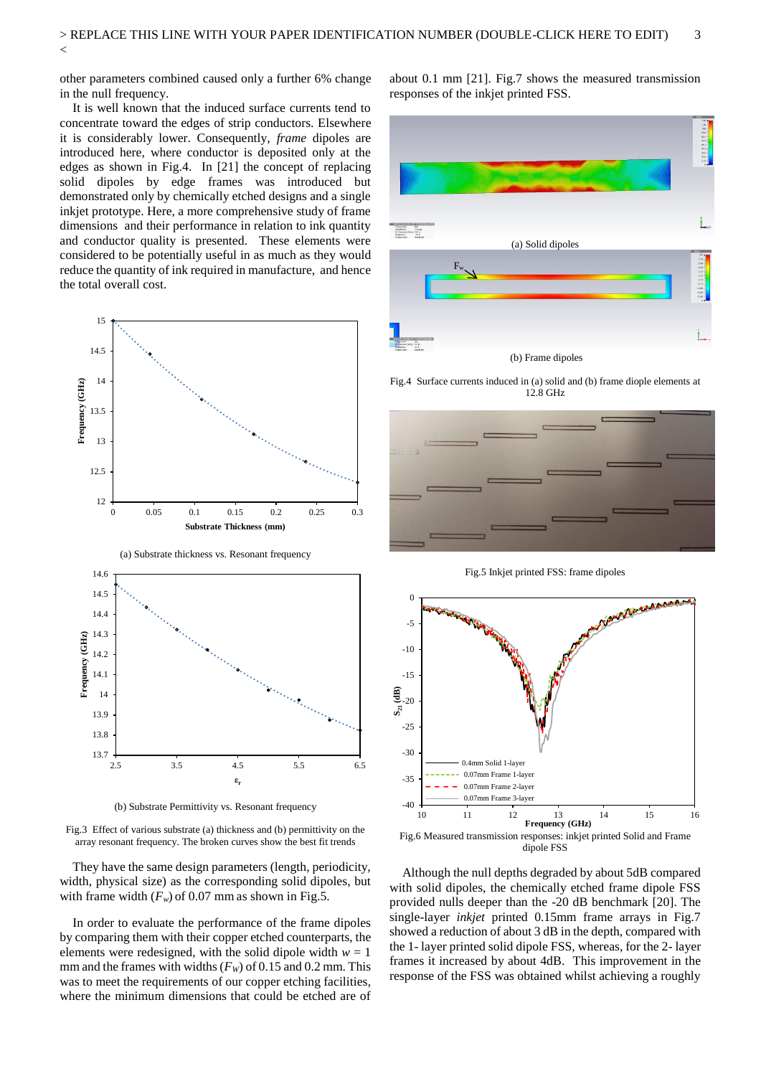other parameters combined caused only a further 6% change in the null frequency.

 $\overline{<}$ 

It is well known that the induced surface currents tend to concentrate toward the edges of strip conductors. Elsewhere it is considerably lower. Consequently, *frame* dipoles are introduced here, where conductor is deposited only at the edges as shown in Fig.4. In [21] the concept of replacing solid dipoles by edge frames was introduced but demonstrated only by chemically etched designs and a single inkjet prototype. Here, a more comprehensive study of frame dimensions and their performance in relation to ink quantity and conductor quality is presented. These elements were considered to be potentially useful in as much as they would reduce the quantity of ink required in manufacture, and hence the total overall cost.



(b) Substrate Permittivity vs. Resonant frequency

Fig.3 Effect of various substrate (a) thickness and (b) permittivity on the array resonant frequency. The broken curves show the best fit trends

They have the same design parameters (length, periodicity, width, physical size) as the corresponding solid dipoles, but with frame width  $(F_w)$  of 0.07 mm as shown in Fig.5.

In order to evaluate the performance of the frame dipoles by comparing them with their copper etched counterparts, the elements were redesigned, with the solid dipole width  $w = 1$ mm and the frames with widths  $(F_W)$  of 0.15 and 0.2 mm. This was to meet the requirements of our copper etching facilities, where the minimum dimensions that could be etched are of

about 0.1 mm [21]. Fig.7 shows the measured transmission responses of the inkjet printed FSS.



Fig.4 Surface currents induced in (a) solid and (b) frame diople elements at 12.8 GHz



Fig.5 Inkjet printed FSS: frame dipoles



dipole FSS

Although the null depths degraded by about 5dB compared with solid dipoles, the chemically etched frame dipole FSS provided nulls deeper than the -20 dB benchmark [20]. The single-layer *inkjet* printed 0.15mm frame arrays in Fig.7 showed a reduction of about 3 dB in the depth, compared with the 1- layer printed solid dipole FSS, whereas, for the 2- layer frames it increased by about 4dB. This improvement in the response of the FSS was obtained whilst achieving a roughly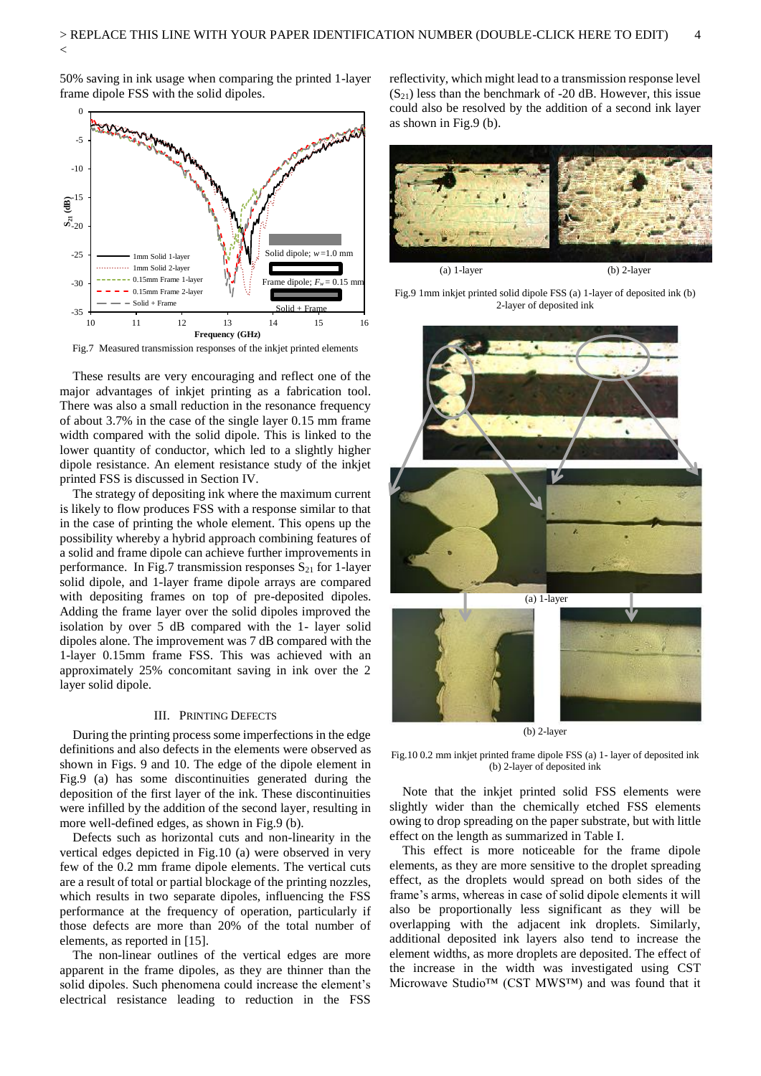50% saving in ink usage when comparing the printed 1-layer frame dipole FSS with the solid dipoles.

 $\overline{<}$ 



Fig.7 Measured transmission responses of the inkjet printed elements

These results are very encouraging and reflect one of the major advantages of inkjet printing as a fabrication tool. There was also a small reduction in the resonance frequency of about 3.7% in the case of the single layer 0.15 mm frame width compared with the solid dipole. This is linked to the lower quantity of conductor, which led to a slightly higher dipole resistance. An element resistance study of the inkjet printed FSS is discussed in Section IV.

The strategy of depositing ink where the maximum current is likely to flow produces FSS with a response similar to that in the case of printing the whole element. This opens up the possibility whereby a hybrid approach combining features of a solid and frame dipole can achieve further improvements in performance. In Fig.7 transmission responses  $S_{21}$  for 1-layer solid dipole, and 1-layer frame dipole arrays are compared with depositing frames on top of pre-deposited dipoles. Adding the frame layer over the solid dipoles improved the isolation by over 5 dB compared with the 1- layer solid dipoles alone. The improvement was 7 dB compared with the 1-layer 0.15mm frame FSS. This was achieved with an approximately 25% concomitant saving in ink over the 2 layer solid dipole.

# III. PRINTING DEFECTS

During the printing process some imperfections in the edge definitions and also defects in the elements were observed as shown in Figs. 9 and 10. The edge of the dipole element in Fig.9 (a) has some discontinuities generated during the deposition of the first layer of the ink. These discontinuities were infilled by the addition of the second layer, resulting in more well-defined edges, as shown in Fig.9 (b).

Defects such as horizontal cuts and non-linearity in the vertical edges depicted in Fig.10 (a) were observed in very few of the 0.2 mm frame dipole elements. The vertical cuts are a result of total or partial blockage of the printing nozzles, which results in two separate dipoles, influencing the FSS performance at the frequency of operation, particularly if those defects are more than 20% of the total number of elements, as reported in [15].

The non-linear outlines of the vertical edges are more apparent in the frame dipoles, as they are thinner than the solid dipoles. Such phenomena could increase the element's electrical resistance leading to reduction in the FSS

reflectivity, which might lead to a transmission response level  $(S_{21})$  less than the benchmark of -20 dB. However, this issue could also be resolved by the addition of a second ink layer as shown in Fig.9 (b).



Fig.9 1mm inkjet printed solid dipole FSS (a) 1-layer of deposited ink (b) 2-layer of deposited ink



(b) 2-layer

Fig.10 0.2 mm inkjet printed frame dipole FSS (a) 1- layer of deposited ink (b) 2-layer of deposited ink

Note that the inkjet printed solid FSS elements were slightly wider than the chemically etched FSS elements owing to drop spreading on the paper substrate, but with little effect on the length as summarized in Table I.

This effect is more noticeable for the frame dipole elements, as they are more sensitive to the droplet spreading effect, as the droplets would spread on both sides of the frame's arms, whereas in case of solid dipole elements it will also be proportionally less significant as they will be overlapping with the adjacent ink droplets. Similarly, additional deposited ink layers also tend to increase the element widths, as more droplets are deposited. The effect of the increase in the width was investigated using CST Microwave Studio™ (CST MWS™) and was found that it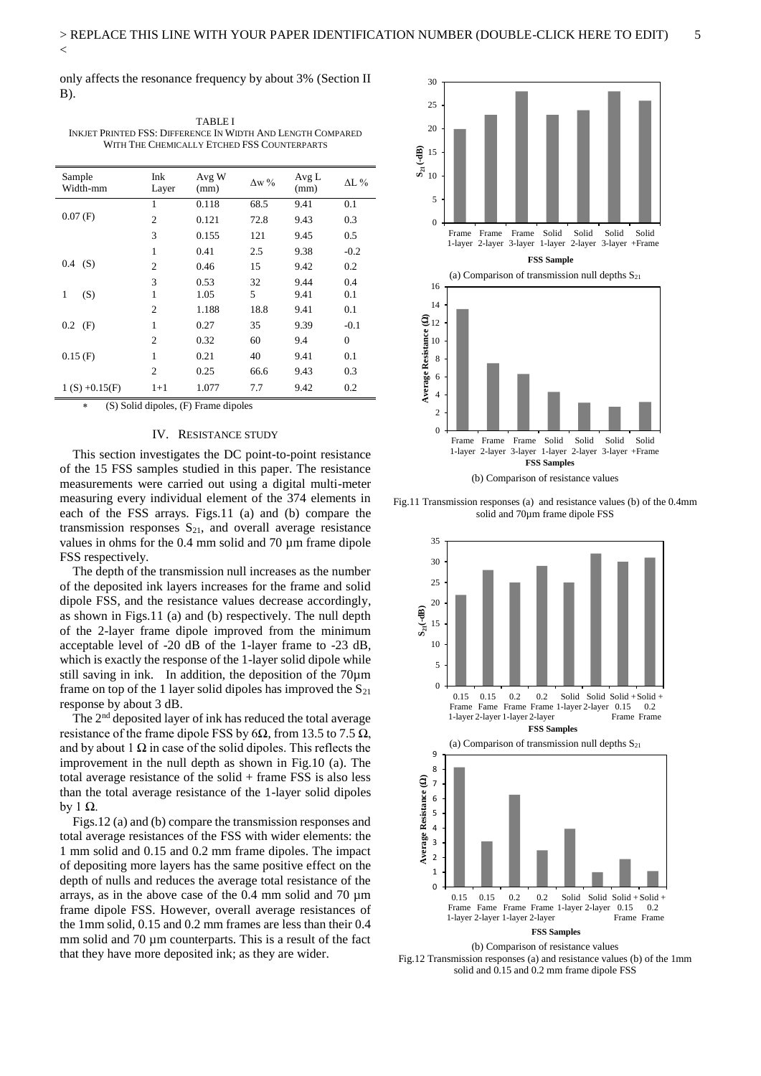only affects the resonance frequency by about 3% (Section II B).

| Sample<br>Width-mm | Ink<br>Layer   | Avg W<br>(mm) | $\Lambda w$ % | Avg L<br>(mm) | $\Delta L$ % |
|--------------------|----------------|---------------|---------------|---------------|--------------|
|                    | 1              | 0.118         | 68.5          | 9.41          | 0.1          |
| 0.07(F)            | $\overline{c}$ | 0.121         | 72.8          | 9.43          | 0.3          |
|                    | 3              | 0.155         | 121           | 9.45          | 0.5          |
| (S)<br>0.4         | 1              | 0.41          | 2.5           | 9.38          | $-0.2$       |
|                    | $\mathfrak{2}$ | 0.46          | 15            | 9.42          | 0.2          |
| (S)<br>1           | 3<br>1         | 0.53<br>1.05  | 32<br>5       | 9.44<br>9.41  | 0.4<br>0.1   |
|                    | $\overline{c}$ | 1.188         | 18.8          | 9.41          | 0.1          |
| 0.2<br>(F)         | 1              | 0.27          | 35            | 9.39          | $-0.1$       |
|                    | $\overline{c}$ | 0.32          | 60            | 9.4           | $\mathbf{0}$ |
| 0.15(F)            | 1              | 0.21          | 40            | 9.41          | 0.1          |
|                    | $\overline{c}$ | 0.25          | 66.6          | 9.43          | 0.3          |
| $1(S) +0.15(F)$    | $1+1$          | 1.077         | 7.7           | 9.42          | 0.2          |

TABLE I INKJET PRINTED FSS: DIFFERENCE IN WIDTH AND LENGTH COMPARED WITH THE CHEMICALLY ETCHED FSS COUNTERPARTS

(S) Solid dipoles, (F) Frame dipoles

# IV. RESISTANCE STUDY

This section investigates the DC point-to-point resistance of the 15 FSS samples studied in this paper. The resistance measurements were carried out using a digital multi-meter measuring every individual element of the 374 elements in each of the FSS arrays. Figs.11 (a) and (b) compare the transmission responses  $S_{21}$ , and overall average resistance values in ohms for the 0.4 mm solid and 70 µm frame dipole FSS respectively.

The depth of the transmission null increases as the number of the deposited ink layers increases for the frame and solid dipole FSS, and the resistance values decrease accordingly, as shown in Figs.11 (a) and (b) respectively. The null depth of the 2-layer frame dipole improved from the minimum acceptable level of -20 dB of the 1-layer frame to -23 dB, which is exactly the response of the 1-layer solid dipole while still saving in ink. In addition, the deposition of the 70µm frame on top of the 1 layer solid dipoles has improved the  $S_{21}$ response by about 3 dB.

The 2nd deposited layer of ink has reduced the total average resistance of the frame dipole FSS by 6 $\Omega$ , from 13.5 to 7.5  $\Omega$ , and by about 1  $\Omega$  in case of the solid dipoles. This reflects the improvement in the null depth as shown in Fig.10 (a). The total average resistance of the solid + frame FSS is also less than the total average resistance of the 1-layer solid dipoles by 1 $Ω$ .

Figs.12 (a) and (b) compare the transmission responses and total average resistances of the FSS with wider elements: the 1 mm solid and 0.15 and 0.2 mm frame dipoles. The impact of depositing more layers has the same positive effect on the depth of nulls and reduces the average total resistance of the arrays, as in the above case of the 0.4 mm solid and 70 µm frame dipole FSS. However, overall average resistances of the 1mm solid, 0.15 and 0.2 mm frames are less than their 0.4 mm solid and 70  $\mu$ m counterparts. This is a result of the fact that they have more deposited ink; as they are wider.



Fig.11 Transmission responses (a) and resistance values (b) of the 0.4mm solid and 70µm frame dipole FSS



Fig.12 Transmission responses (a) and resistance values (b) of the 1mm solid and 0.15 and 0.2 mm frame dipole FSS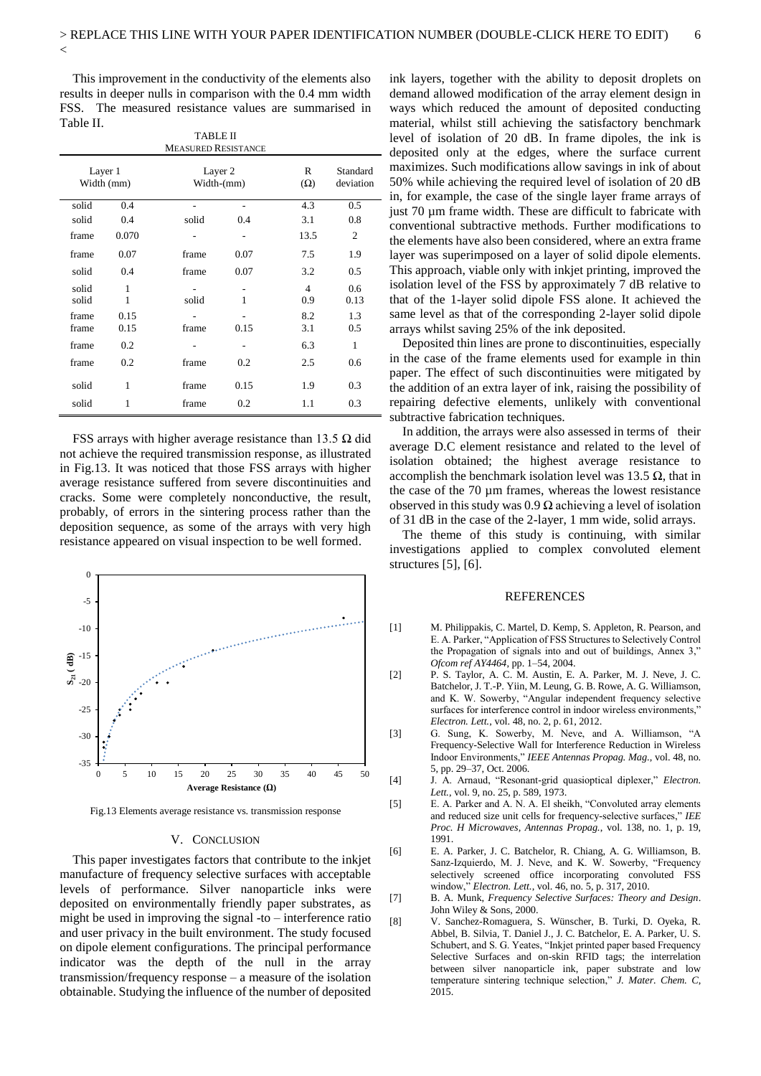This improvement in the conductivity of the elements also results in deeper nulls in comparison with the 0.4 mm width FSS. The measured resistance values are summarised in Table II.

 $\overline{<}$ 

| <b>TABLE II</b><br><b>MEASURED RESISTANCE</b> |       |                       |      |                 |                       |  |  |  |  |  |
|-----------------------------------------------|-------|-----------------------|------|-----------------|-----------------------|--|--|--|--|--|
| Layer 1<br>Width (mm)                         |       | Layer 2<br>Width-(mm) |      | R<br>$(\Omega)$ | Standard<br>deviation |  |  |  |  |  |
| solid                                         | 0.4   |                       |      | 4.3             | 0.5                   |  |  |  |  |  |
| solid                                         | 0.4   | solid                 | 0.4  | 3.1             | 0.8                   |  |  |  |  |  |
| frame                                         | 0.070 |                       |      | 13.5            | 2                     |  |  |  |  |  |
| frame                                         | 0.07  | frame                 | 0.07 | 7.5             | 1.9                   |  |  |  |  |  |
| solid                                         | 0.4   | frame                 | 0.07 | 3.2             | 0.5                   |  |  |  |  |  |
| solid                                         | 1     |                       |      | 4               | 0.6                   |  |  |  |  |  |
| solid                                         | 1     | solid                 | 1    | 0.9             | 0.13                  |  |  |  |  |  |
| frame                                         | 0.15  |                       |      | 8.2             | 1.3                   |  |  |  |  |  |
| frame                                         | 0.15  | frame                 | 0.15 | 3.1             | 0.5                   |  |  |  |  |  |
| frame                                         | 0.2   | ۰                     |      | 6.3             | $\mathbf{1}$          |  |  |  |  |  |
| frame                                         | 0.2   | frame                 | 0.2  | 2.5             | 0.6                   |  |  |  |  |  |
| solid                                         | 1     | frame                 | 0.15 | 1.9             | 0.3                   |  |  |  |  |  |
| solid                                         | 1     | frame                 | 0.2  | 1.1             | 0.3                   |  |  |  |  |  |

FSS arrays with higher average resistance than 13.5  $\Omega$  did not achieve the required transmission response, as illustrated in Fig.13. It was noticed that those FSS arrays with higher average resistance suffered from severe discontinuities and cracks. Some were completely nonconductive, the result, probably, of errors in the sintering process rather than the deposition sequence, as some of the arrays with very high resistance appeared on visual inspection to be well formed.



Fig.13 Elements average resistance vs. transmission response

# V. CONCLUSION

This paper investigates factors that contribute to the inkjet manufacture of frequency selective surfaces with acceptable levels of performance. Silver nanoparticle inks were deposited on environmentally friendly paper substrates, as might be used in improving the signal -to – interference ratio and user privacy in the built environment. The study focused on dipole element configurations. The principal performance indicator was the depth of the null in the array transmission/frequency response – a measure of the isolation obtainable. Studying the influence of the number of deposited

ink layers, together with the ability to deposit droplets on demand allowed modification of the array element design in ways which reduced the amount of deposited conducting material, whilst still achieving the satisfactory benchmark level of isolation of 20 dB. In frame dipoles, the ink is deposited only at the edges, where the surface current maximizes. Such modifications allow savings in ink of about 50% while achieving the required level of isolation of 20 dB in, for example, the case of the single layer frame arrays of just 70 µm frame width. These are difficult to fabricate with conventional subtractive methods. Further modifications to the elements have also been considered, where an extra frame layer was superimposed on a layer of solid dipole elements. This approach, viable only with inkjet printing, improved the isolation level of the FSS by approximately 7 dB relative to that of the 1-layer solid dipole FSS alone. It achieved the same level as that of the corresponding 2-layer solid dipole arrays whilst saving 25% of the ink deposited.

Deposited thin lines are prone to discontinuities, especially in the case of the frame elements used for example in thin paper. The effect of such discontinuities were mitigated by the addition of an extra layer of ink, raising the possibility of repairing defective elements, unlikely with conventional subtractive fabrication techniques.

In addition, the arrays were also assessed in terms of their average D.C element resistance and related to the level of isolation obtained; the highest average resistance to accomplish the benchmark isolation level was 13.5  $\Omega$ , that in the case of the 70 µm frames, whereas the lowest resistance observed in this study was 0.9  $\Omega$  achieving a level of isolation of 31 dB in the case of the 2-layer, 1 mm wide, solid arrays.

The theme of this study is continuing, with similar investigations applied to complex convoluted element structures [5], [6].

# **REFERENCES**

- [1] M. Philippakis, C. Martel, D. Kemp, S. Appleton, R. Pearson, and E. A. Parker, "Application of FSS Structures to Selectively Control the Propagation of signals into and out of buildings, Annex 3, *Ofcom ref AY4464*, pp. 1–54, 2004.
- [2] P. S. Taylor, A. C. M. Austin, E. A. Parker, M. J. Neve, J. C. Batchelor, J. T.-P. Yiin, M. Leung, G. B. Rowe, A. G. Williamson, and K. W. Sowerby, "Angular independent frequency selective surfaces for interference control in indoor wireless environments," *Electron. Lett.*, vol. 48, no. 2, p. 61, 2012.
- [3] G. Sung, K. Sowerby, M. Neve, and A. Williamson, "A Frequency-Selective Wall for Interference Reduction in Wireless Indoor Environments," *IEEE Antennas Propag. Mag.*, vol. 48, no. 5, pp. 29–37, Oct. 2006.
- [4] J. A. Arnaud, "Resonant-grid quasioptical diplexer," *Electron. Lett.*, vol. 9, no. 25, p. 589, 1973.
- [5] E. A. Parker and A. N. A. El sheikh, "Convoluted array elements and reduced size unit cells for frequency-selective surfaces," *IEE Proc. H Microwaves, Antennas Propag.*, vol. 138, no. 1, p. 19, 1991.
- [6] E. A. Parker, J. C. Batchelor, R. Chiang, A. G. Williamson, B. Sanz-Izquierdo, M. J. Neve, and K. W. Sowerby, "Frequency selectively screened office incorporating convoluted FSS window," *Electron. Lett.*, vol. 46, no. 5, p. 317, 2010.
- [7] B. A. Munk, *Frequency Selective Surfaces: Theory and Design*. John Wiley & Sons, 2000.
- [8] V. Sanchez-Romaguera, S. Wünscher, B. Turki, D. Oyeka, R. Abbel, B. Silvia, T. Daniel J., J. C. Batchelor, E. A. Parker, U. S. Schubert, and S. G. Yeates, "Inkjet printed paper based Frequency Selective Surfaces and on-skin RFID tags; the interrelation between silver nanoparticle ink, paper substrate and low temperature sintering technique selection," *J. Mater. Chem. C*, 2015.